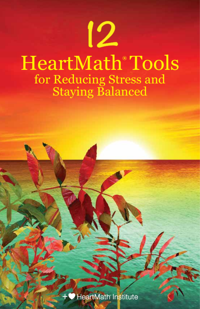# 12 HeartMath**®** Tools for Reducing Stress and Staying Balanced

HeartMath Institute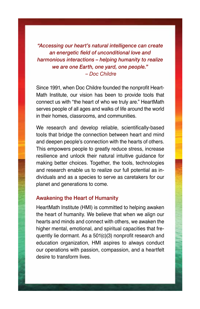*"Accessing our heart's natural intelligence can create an energetic field of unconditional love and harmonious interactions – helping humanity to realize we are one Earth, one yard, one people." – Doc Childre* 

Since 1991, when Doc Childre founded the nonprofit Heart-Math Institute, our vision has been to provide tools that connect us with "the heart of who we truly are." HeartMath serves people of all ages and walks of life around the world in their homes, classrooms, and communities.

We research and develop reliable, scientifically-based tools that bridge the connection between heart and mind and deepen people's connection with the hearts of others. This empowers people to greatly reduce stress, increase resilience and unlock their natural intuitive guidance for making better choices. Together, the tools, technologies and research enable us to realize our full potential as individuals and as a species to serve as caretakers for our planet and generations to come.

#### Awakening the Heart of Humanity

HeartMath Institute (HMI) is committed to helping awaken the heart of humanity. We believe that when we align our hearts and minds and connect with others, we awaken the higher mental, emotional, and spiritual capacities that frequently lie dormant. As a 501(c)(3) nonprofit research and education organization, HMI aspires to always conduct our operations with passion, compassion, and a heartfelt desire to transform lives.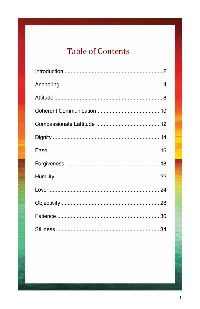# **Table of Contents**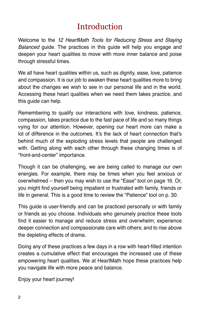### **Introduction**

Welcome to the *12 HeartMath Tools for Reducing Stress and Staying Balanced* guide. The practices in this guide will help you engage and deepen your heart qualities to move with more inner balance and poise through stressful times.

We all have heart qualities within us, such as dignity, ease, love, patience and compassion. It is our job to awaken these heart qualities more to bring about the changes we wish to see in our personal life and in the world. Accessing these heart qualities when we need them takes practice, and this guide can help.

Remembering to qualify our interactions with love, kindness, patience, compassion, takes practice due to the fast pace of life and so many things vying for our attention. However, opening our heart more can make a lot of difference in the outcomes. It's the lack of heart connection that's behind much of the exploding stress levels that people are challenged with. Getting along with each other through these changing times is of "front-and-center" importance.

Though it can be challenging, we are being called to manage our own energies. For example, there may be times when you feel anxious or overwhelmed – then you may wish to use the "Ease" tool on page 16. Or, you might find yourself being impatient or frustrated with family, friends or life in general. This is a good time to review the "Patience" tool on p. 30.

This guide is user-friendly and can be practiced personally or with family or friends as you choose. Individuals who genuinely practice these tools find it easier to manage and reduce stress and overwhelm; experience deeper connection and compassionate care with others; and to rise above the depleting effects of drama.

Doing any of these practices a few days in a row with heart-filled intention creates a cumulative effect that encourages the increased use of these empowering heart qualities. We at HeartMath hope these practices help you navigate life with more peace and balance.

Enjoy your heart journey!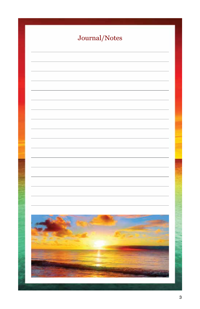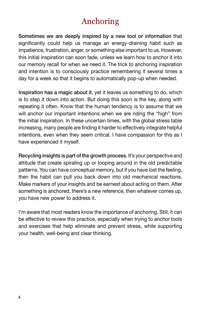### Anchoring

Sometimes we are deeply inspired by a new tool or information that significantly could help us manage an energy-draining habit such as impatience, frustration, anger, or something else important to us. However, this initial inspiration can soon fade, unless we learn how to anchor it into our memory recall for when we need it. The trick to anchoring inspiration and intention is to consciously practice remembering it several times a day for a week so that it begins to automatically pop-up when needed.

Inspiration has a magic about it, yet it leaves us something to do, which is to step it down into action. But doing this soon is the key, along with repeating it often. Know that the human tendency is to assume that we will anchor our important intentions when we are riding the "high" from the initial inspiration. In these uncertain times, with the global stress table increasing, many people are finding it harder to effectively integrate helpful intentions, even when they seem critical. I have compassion for this as I have experienced it myself.

Recycling insights is part of the growth process. It's your perspective and attitude that create spiraling up or looping around in the old predictable patterns. You can have conceptual memory, but if you have lost the feeling, then the habit can pull you back down into old mechanical reactions. Make markers of your insights and be earnest about acting on them. After something is anchored, there's a new reference, then whatever comes up, you have new power to address it.

I'm aware that most readers know the importance of anchoring. Still, it can be effective to review this practice, especially when trying to anchor tools and exercises that help eliminate and prevent stress, while supporting your health, well-being and clear thinking.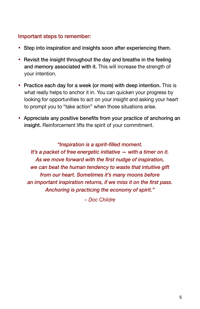#### Important steps to remember:

- Step into inspiration and insights soon after experiencing them.
- Revisit the insight throughout the day and breathe in the feeling and memory associated with it. This will increase the strength of your intention.
- Practice each day for a week (or more) with deep intention. This is what really helps to anchor it in. You can quicken your progress by looking for opportunities to act on your insight and asking your heart to prompt you to "take action" when those situations arise.
- Appreciate any positive benefits from your practice of anchoring an insight. Reinforcement lifts the spirit of your commitment.

*"Inspiration is a spirit-filled moment. It's a packet of free energetic initiative — with a timer on it. As we move forward with the first nudge of inspiration, we can beat the human tendency to waste that intuitive gift from our heart. Sometimes it's many moons before an important inspiration returns, if we miss it on the first pass. Anchoring is practicing the economy of spirit."* 

*– Doc Childre*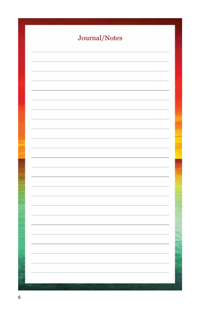| Journal/Notes |
|---------------|
|               |
|               |
|               |
|               |
|               |
|               |
|               |
|               |
|               |
|               |
|               |
|               |
|               |
|               |
|               |
|               |
|               |
|               |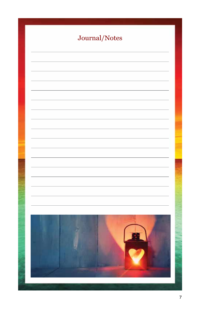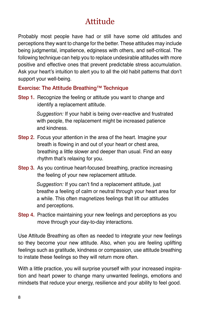# Attitude

Probably most people have had or still have some old attitudes and perceptions they want to change for the better. These attitudes may include being judgmental, impatience, edginess with others, and self-critical. The following technique can help you to replace undesirable attitudes with more positive and effective ones that prevent predictable stress accumulation. Ask your heart's intuition to alert you to all the old habit patterns that don't support your well-being.

#### Exercise: The Attitude Breathing™ Technique

Step 1. Recognize the feeling or attitude you want to change and identify a replacement attitude.

> *Suggestion:* If your habit is being over-reactive and frustrated with people, the replacement might be increased patience and kindness.

- Step 2. Focus your attention in the area of the heart. Imagine your breath is flowing in and out of your heart or chest area, breathing a little slower and deeper than usual. Find an easy rhythm that's relaxing for you.
- Step 3. As you continue heart-focused breathing, practice increasing the feeling of your new replacement attitude.

*Suggestion:* If you can't find a replacement attitude, just breathe a feeling of calm or neutral through your heart area for a while. This often magnetizes feelings that lift our attitudes and perceptions.

Step 4. Practice maintaining your new feelings and perceptions as you move through your day-to-day interactions.

Use Attitude Breathing as often as needed to integrate your new feelings so they become your new attitude. Also, when you are feeling uplifting feelings such as gratitude, kindness or compassion, use attitude breathing to instate these feelings so they will return more often.

With a little practice, you will surprise yourself with your increased inspiration and heart power to change many unwanted feelings, emotions and mindsets that reduce your energy, resilience and your ability to feel good.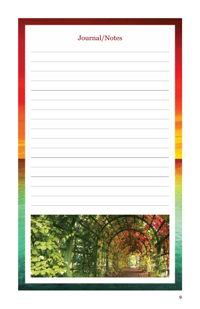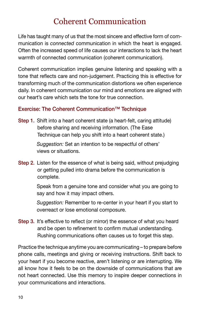### Coherent Communication

Life has taught many of us that the most sincere and effective form of communication is *connected* communication in which the heart is engaged. Often the increased speed of life causes our interactions to lack the heart warmth of connected communication (coherent communication).

Coherent communication implies genuine listening and speaking with a tone that reflects care and non-judgement. Practicing this is effective for transforming much of the communication distortions we often experience daily. In coherent communication our mind and emotions are aligned with our heart's care which sets the tone for true connection.

### Exercise: The Coherent Communication™ Technique

**Step 1.** Shift into a heart coherent state (a heart-felt, caring attitude) before sharing and receiving information. (The Ease Technique can help you shift into a heart coherent state.)

> *Suggestion:* Set an intention to be respectful of others' views or situations.

Step 2. Listen for the essence of what is being said, without prejudging or getting pulled into drama before the communication is complete.

> Speak from a genuine tone and consider what you are going to say and how it may impact others.

> *Suggestion:* Remember to re-center in your heart if you start to overreact or lose emotional composure.

Step 3. It's effective to reflect (or mirror) the essence of what you heard and be open to refinement to confirm mutual understanding. Rushing communications often causes us to forget this step.

Practice the technique anytime you are communicating – to prepare before phone calls, meetings and giving or receiving instructions. Shift back to your heart if you become reactive, aren't listening or are interrupting. We all know how it feels to be on the downside of communications that are not heart connected. Use this memory to inspire deeper connections in your communications and interactions.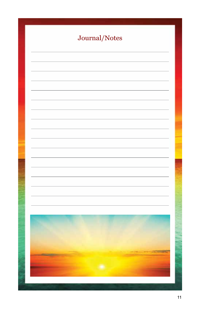| Journal/Notes                                                                                                          |
|------------------------------------------------------------------------------------------------------------------------|
|                                                                                                                        |
|                                                                                                                        |
|                                                                                                                        |
|                                                                                                                        |
|                                                                                                                        |
|                                                                                                                        |
|                                                                                                                        |
|                                                                                                                        |
|                                                                                                                        |
|                                                                                                                        |
|                                                                                                                        |
|                                                                                                                        |
|                                                                                                                        |
|                                                                                                                        |
|                                                                                                                        |
| <b>Property and Constitution of the Constitution</b><br><b>The Company's Company's Company's</b><br><b>DESCRIPTION</b> |
|                                                                                                                        |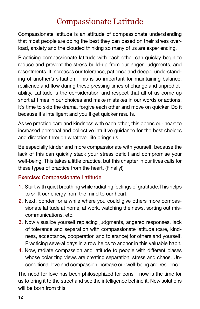### Compassionate Latitude

Compassionate latitude is an attitude of compassionate understanding that most people are doing the best they can based on their stress overload, anxiety and the clouded thinking so many of us are experiencing.

Practicing compassionate latitude with each other can quickly begin to reduce and prevent the stress build-up from our anger, judgments, and resentments. It increases our tolerance, patience and deeper understanding of another's situation. This is so important for maintaining balance, resilience and flow during these pressing times of change and unpredictability. Latitude is the consideration and respect that all of us come up short at times in our choices and make mistakes in our words or actions. It's time to skip the drama, forgive each other and move on quicker. Do it because it's intelligent and you'll get quicker results.

As we practice care and kindness with each other, this opens our heart to increased personal and collective intuitive guidance for the best choices and direction through whatever life brings us.

Be especially kinder and more compassionate with yourself, because the lack of this can quickly stack your stress deficit and compromise your well-being. This takes a little practice, but this chapter in our lives calls for these types of practice from the heart. (Finally!)

### Exercise: Compassionate Latitude

- 1. Start with quiet breathing while radiating feelings of gratitude.This helps to shift our energy from the mind to our heart.
- 2. Next, ponder for a while where you could give others more compassionate latitude at home, at work, watching the news, sorting out miscommunications, etc.
- 3. Now visualize yourself replacing judgments, angered responses, lack of tolerance and separation with compassionate latitude (care, kindness, acceptance, cooperation and tolerance) for others and yourself. Practicing several days in a row helps to anchor in this valuable habit.
- 4. Now, radiate compassion and latitude to people with different biases whose polarizing views are creating separation, stress and chaos. Unconditional love and compassion increase our well-being and resilience.

The need for love has been philosophized for eons – now is the time for us to bring it to the street and see the intelligence behind it. New solutions will be born from this.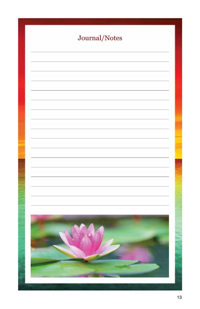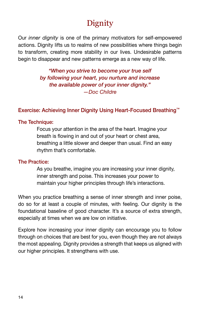# **Dignity**

Our *inner dignity* is one of the primary motivators for self-empowered actions. Dignity lifts us to realms of new possibilities where things begin to transform, creating more stability in our lives. Undesirable patterns begin to disappear and new patterns emerge as a new way of life.

> *"When you strive to become your true self by following your heart, you nurture and increase the available power of your inner dignity." —Doc Childre*

#### Exercise: Achieving Inner Dignity Using Heart-Focused Breathing™

#### The Technique:

Focus your attention in the area of the heart. Imagine your breath is flowing in and out of your heart or chest area, breathing a little slower and deeper than usual. Find an easy rhythm that's comfortable.

#### The Practice:

As you breathe, imagine you are increasing your inner dignity, inner strength and poise. This increases your power to maintain your higher principles through life's interactions.

When you practice breathing a sense of inner strength and inner poise, do so for at least a couple of minutes, with feeling. Our dignity is the foundational baseline of good character. It's a source of extra strength, especially at times when we are low on initiative.

Explore how increasing your inner dignity can encourage you to follow through on choices that are best for you, even though they are not always the most appealing. Dignity provides a strength that keeps us aligned with our higher principles. It strengthens with use.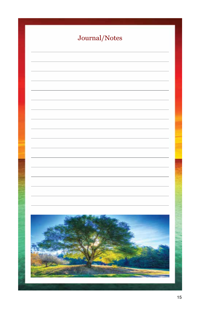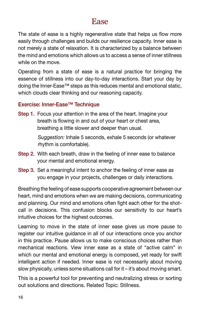### Ease

The state of ease is a highly regenerative state that helps us flow more easily through challenges and builds our resilience capacity. Inner ease is not merely a state of relaxation. It is characterized by a balance between the mind and emotions which allows us to access a sense of inner stillness while on the move.

Operating from a state of ease is a natural practice for bringing the essence of stillness into our day-to-day interactions. Start your day by doing the Inner-Ease™ steps as this reduces mental and emotional static, which clouds clear thinking and our reasoning capacity.

#### Exercise: Inner-Ease™ Technique

Step 1. Focus your attention in the area of the heart. Imagine your breath is flowing in and out of your heart or chest area, breathing a little slower and deeper than usual.

> *Suggestion:* Inhale 5 seconds, exhale 5 seconds (or whatever rhythm is comfortable).

- Step 2. With each breath, draw in the feeling of inner ease to balance your mental and emotional energy.
- Step 3. Set a meaningful intent to anchor the feeling of inner ease as you engage in your projects, challenges or daily interactions.

Breathing the feeling of ease supports cooperative agreement between our heart, mind and emotions when we are making decisions, communicating and planning. Our mind and emotions often fight each other for the shotcall in decisions. This confusion blocks our sensitivity to our heart's intuitive choices for the highest outcomes.

Learning to move in the state of inner ease gives us more pause to register our intuitive guidance in all of our interactions once you anchor in this practice. Pause allows us to make conscious choices rather than mechanical reactions. View inner ease as a state of "active calm" in which our mental and emotional energy is composed, yet ready for swift intelligent action if needed. Inner ease is not necessarily about moving slow physically, unless some situations call for it – it's about moving smart.

This is a powerful tool for preventing and neutralizing stress or sorting out solutions and directions. Related Topic: Stillness.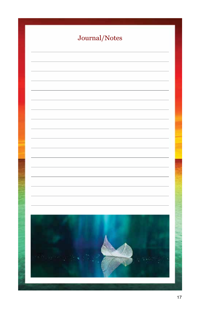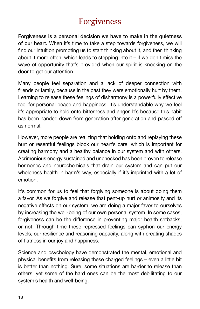### Forgiveness

Forgiveness is a personal decision we have to make in the quietness of our heart. When it's time to take a step towards forgiveness, we will find our intuition prompting us to start thinking about it, and then thinking about it more often, which leads to stepping into it – if we don't miss the wave of opportunity that's provided when our spirit is knocking on the door to get our attention.

Many people feel separation and a lack of deeper connection with friends or family, because in the past they were emotionally hurt by them. Learning to release these feelings of disharmony is a powerfully effective tool for personal peace and happiness. It's understandable why we feel it's appropriate to hold onto bitterness and anger. It's because this habit has been handed down from generation after generation and passed off as normal.

However, more people are realizing that holding onto and replaying these hurt or resentful feelings block our heart's care, which is important for creating harmony and a healthy balance in our system and with others. Acrimonious energy sustained and unchecked has been proven to release hormones and neurochemicals that drain our system and can put our wholeness health in harm's way, especially if it's imprinted with a lot of emotion.

It's common for us to feel that forgiving someone is about doing them a favor. As we forgive and release that pent-up hurt or animosity and its negative effects on our system, we are doing a major favor to ourselves by increasing the well-being of our own personal system. In some cases, forgiveness can be the difference in preventing major health setbacks, or not. Through time these repressed feelings can syphon our energy levels, our resilience and reasoning capacity, along with creating shades of flatness in our joy and happiness.

Science and psychology have demonstrated the mental, emotional and physical benefits from releasing these charged feelings – even a little bit is better than nothing. Sure, some situations are harder to release than others, yet some of the hard ones can be the most debilitating to our system's health and well-being.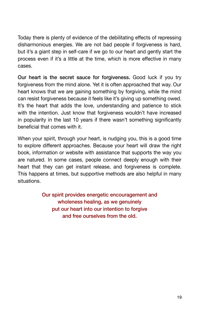Today there is plenty of evidence of the debilitating effects of repressing disharmonious energies. We are not bad people if forgiveness is hard, but it's a giant step in self-care if we go to our heart and gently start the process even if it's a little at the time, which is more effective in many cases.

Our heart is the secret sauce for forgiveness. Good luck if you try forgiveness from the mind alone. Yet it is often approached that way. Our heart knows that we are gaining something by forgiving, while the mind can resist forgiveness because it feels like it's giving up something owed. It's the heart that adds the love, understanding and patience to stick with the intention. Just know that forgiveness wouldn't have increased in popularity in the last 10 years if there wasn't something significantly beneficial that comes with it.

When your spirit, through your heart, is nudging you, this is a good time to explore different approaches. Because your heart will draw the right book, information or website with assistance that supports the way you are natured. In some cases, people connect deeply enough with their heart that they can get instant release, and forgiveness is complete. This happens at times, but supportive methods are also helpful in many situations.

> Our spirit provides energetic encouragement and wholeness healing, as we genuinely put our heart into our intention to forgive and free ourselves from the old.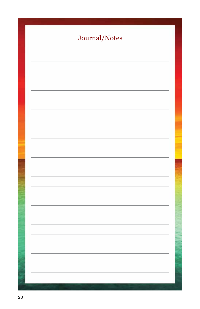| Journal/Notes |
|---------------|
|               |
|               |
|               |
|               |
|               |
|               |
|               |
|               |
|               |
|               |
|               |
|               |
|               |
|               |
|               |
|               |
|               |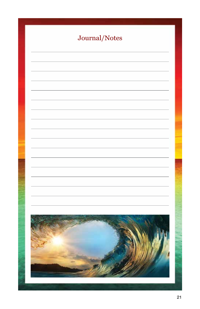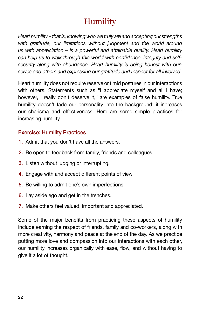# Humility

*Heart humility – that is, knowing who we truly are and accepting our strengths with gratitude, our limitations without judgment and the world around us with appreciation – is a powerful and attainable quality. Heart humility can help us to walk through this world with confidence, integrity and selfsecurity along with abundance. Heart humility is being honest with ourselves and others and expressing our gratitude and respect for all involved.* 

Heart humility does not require reserve or timid postures in our interactions with others. Statements such as "I appreciate myself and all I have; however, I really don't deserve it," are examples of false humility. True humility doesn't fade our personality into the background; it increases our charisma and effectiveness. Here are some simple practices for increasing humility.

#### Exercise: Humility Practices

- 1. Admit that you don't have all the answers.
- 2. Be open to feedback from family, friends and colleagues.
- 3. Listen without judging or interrupting.
- 4. Engage with and accept different points of view.
- 5. Be willing to admit one's own imperfections.
- 6. Lay aside ego and get in the trenches.
- 7. Make others feel valued, important and appreciated.

Some of the major benefits from practicing these aspects of humility include earning the respect of friends, family and co-workers, along with more creativity, harmony and peace at the end of the day. As we practice putting more love and compassion into our interactions with each other, our humility increases organically with ease, flow, and without having to give it a lot of thought.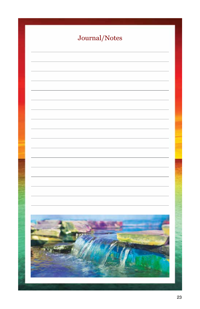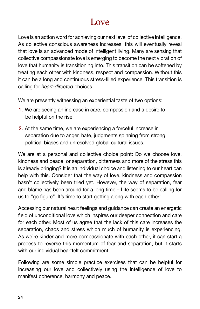### Love

Love is an action word for achieving our next level of collective intelligence. As collective conscious awareness increases, this will eventually reveal that love is an advanced mode of intelligent living. Many are sensing that collective compassionate love is emerging to become the next vibration of love that humanity is transitioning into. This transition can be softened by treating each other with kindness, respect and compassion. Without this it can be a long and continuous stress-filled experience. This transition is calling for *heart-directed* choices.

We are presently witnessing an experiential taste of two options:

- 1. We are seeing an increase in care, compassion and a desire to be helpful on the rise.
- 2. At the same time, we are experiencing a forceful increase in separation due to anger, hate, judgments spinning from strong political biases and unresolved global cultural issues.

We are at a personal and collective choice point: Do we choose love, kindness and peace, or separation, bitterness and more of the stress this is already bringing? It is an individual choice and listening to our heart can help with this. Consider that the way of love, kindness and compassion hasn't collectively been tried yet. However, the way of separation, fear and blame has been around for a long time – Life seems to be calling for us to "go figure". It's time to start getting along with each other!

Accessing our natural heart feelings and guidance can create an energetic field of unconditional love which inspires our deeper connection and care for each other. Most of us agree that the lack of this care increases the separation, chaos and stress which much of humanity is experiencing. As we're kinder and more compassionate with each other, it can start a process to reverse this momentum of fear and separation, but it starts with our individual heartfelt commitment.

Following are some simple practice exercises that can be helpful for increasing our love and collectively using the intelligence of love to manifest coherence, harmony and peace.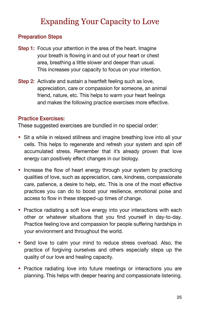### Expanding Your Capacity to Love

### Preparation Steps

- Step 1: Focus your attention in the area of the heart. Imagine your breath is flowing in and out of your heart or chest area, breathing a little slower and deeper than usual. This increases your capacity to focus on your intention.
- Step 2: Activate and sustain a heartfelt feeling such as love, appreciation, care or compassion for someone, an animal friend, nature, etc. This helps to warm your heart feelings and makes the following practice exercises more effective.

#### Practice Exercises:

These suggested exercises are bundled in no special order:

- Sit a while in relaxed stillness and imagine breathing love into all your cells. This helps to regenerate and refresh your system and spin off accumulated stress. Remember that it's already proven that love energy can positively effect changes in our biology.
- Increase the flow of heart energy through your system by practicing qualities of love, such as appreciation, care, kindness, compassionate care, patience, a desire to help, etc. This is one of the most effective practices you can do to boost your resilience, emotional poise and access to flow in these stepped-up times of change.
- Practice radiating a soft love energy into your interactions with each other or whatever situations that you find yourself in day-to-day. Practice feeling love and compassion for people suffering hardships in your environment and throughout the world.
- Send love to calm your mind to reduce stress overload. Also, the practice of forgiving ourselves and others especially steps up the quality of our love and healing capacity.
- Practice radiating love into future meetings or interactions you are planning. This helps with deeper hearing and compassionate listening.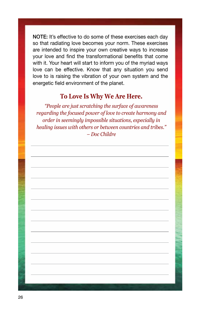NOTE: It's effective to do some of these exercises each day so that radiating love becomes your norm. These exercises are intended to inspire your own creative ways to increase your love and find the transformational benefits that come with it. Your heart will start to inform you of the myriad ways love can be effective. Know that any situation you send love to is raising the vibration of your own system and the energetic field environment of the planet.

### **To Love Is Why We Are Here.**

*"People are just scratching the surface of awareness regarding the focused power of love to create harmony and order in seemingly impossible situations, especially in healing issues with others or between countries and tribes." – Doc Childre*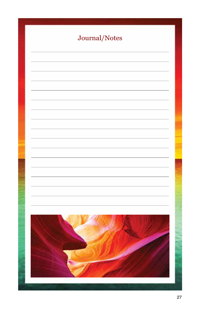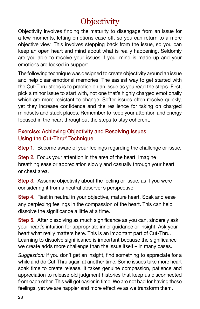# **Objectivity**

Objectivity involves finding the maturity to disengage from an issue for a few moments, letting emotions ease off, so you can return to a more objective view. This involves stepping back from the issue, so you can keep an open heart and mind about what is really happening. Seldomly are you able to resolve your issues if your mind is made up and your emotions are locked in support.

The following technique was designed to create objectivity around an issue and help clear emotional memories. The easiest way to get started with the Cut-Thru steps is to practice on an issue as you read the steps. First, pick a minor issue to start with, not one that's highly charged emotionally which are more resistant to change. Softer issues often resolve quickly, yet they increase confidence and the resilience for taking on charged mindsets and stuck places. Remember to keep your attention and energy focused in the heart throughout the steps to stay coherent.

### Exercise: Achieving Objectivity and Resolving Issues Using the Cut-Thru® Technique

Step 1. Become aware of your feelings regarding the challenge or issue.

Step 2. Focus your attention in the area of the heart. Imagine breathing ease or appreciation slowly and casually through your heart or chest area.

Step 3. Assume objectivity about the feeling or issue, as if you were considering it from a neutral observer's perspective.

Step 4. Rest in neutral in your objective, mature heart. Soak and ease any perplexing feelings in the compassion of the heart. This can help dissolve the significance a little at a time.

Step 5. After dissolving as much significance as you can, sincerely ask your heart's intuition for appropriate inner guidance or insight. Ask your heart what really matters here. This is an important part of Cut-Thru. Learning to dissolve significance is important because the significance we create adds more challenge than the issue itself – in many cases.

*Suggestion:* If you don't get an insight, find something to appreciate for a while and do Cut-Thru again at another time. Some issues take more heart soak time to create release. It takes genuine compassion, patience and appreciation to release old judgment histories that keep us disconnected from each other. This will get easier in time. We are not bad for having these feelings, yet we are happier and more effective as we transform them.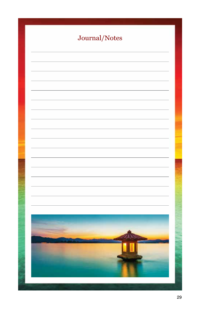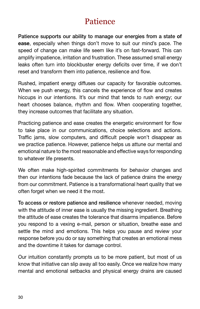### Patience

Patience supports our ability to manage our energies from a state **of ease**, especially when things don't move to suit our mind's pace. The speed of change can make life seem like it's on fast-forward. This can amplify impatience, irritation and frustration. These assumed small energy leaks often turn into blockbuster energy deficits over time, if we don't reset and transform them into patience, resilience and flow.

Rushed, impatient energy diffuses our capacity for favorable outcomes. When we push energy, this cancels the experience of flow and creates hiccups in our intentions. It's our mind that tends to rush energy; our heart chooses balance, rhythm and flow. When cooperating together, they increase outcomes that facilitate any situation.

Practicing patience and ease creates the energetic environment for flow to take place in our communications, choice selections and actions. Traffic jams, slow computers, and difficult people won't disappear as we practice patience. However, patience helps us attune our mental and emotional nature to the most reasonable and effective ways for responding to whatever life presents.

We often make high-spirited commitments for behavior changes and then our intentions fade because the lack of patience drains the energy from our commitment. Patience is a transformational heart quality that we often forget when we need it the most.

To access or restore patience and resilience whenever needed, moving with the attitude of inner ease is usually the missing ingredient. Breathing the attitude of ease creates the tolerance that disarms impatience. Before you respond to a vexing e-mail, person or situation, breathe ease and settle the mind and emotions. This helps you pause and review your response before you do or say something that creates an emotional mess and the downtime it takes for damage control.

Our intuition constantly prompts us to be more patient, but most of us know that initiative can slip away all too easily. Once we realize how many mental and emotional setbacks and physical energy drains are caused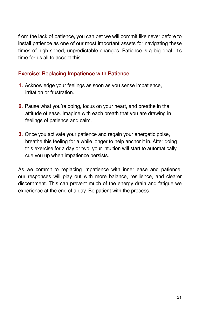from the lack of patience, you can bet we will commit like never before to install patience as one of our most important assets for navigating these times of high speed, unpredictable changes. Patience is a big deal. It's time for us all to accept this.

### Exercise: Replacing Impatience with Patience

- **1.** Acknowledge your feelings as soon as you sense impatience, irritation or frustration.
- **2.** Pause what you're doing, focus on your heart, and breathe in the attitude of ease. Imagine with each breath that you are drawing in feelings of patience and calm.
- **3.** Once you activate your patience and regain your energetic poise, breathe this feeling for a while longer to help anchor it in. After doing this exercise for a day or two, your intuition will start to automatically cue you up when impatience persists.

As we commit to replacing impatience with inner ease and patience, our responses will play out with more balance, resilience, and clearer discernment. This can prevent much of the energy drain and fatigue we experience at the end of a day. Be patient with the process.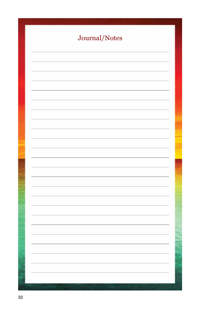| Journal/Notes |
|---------------|
|               |
|               |
|               |
|               |
|               |
|               |
|               |
|               |
|               |
|               |
|               |
|               |
|               |
|               |
|               |
|               |
|               |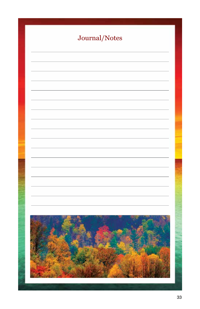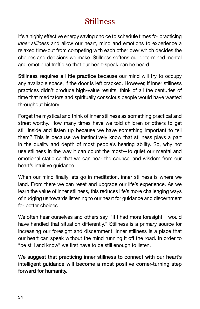### Stillness

It's a highly effective energy saving choice to schedule times for practicing *inner stillness* and allow our heart, mind and emotions to experience a relaxed time-out from competing with each other over which decides the choices and decisions we make. Stillness softens our determined mental and emotional traffic so that our heart-speak can be heard.

Stillness requires a little practice because our mind will try to occupy any available space, if the door is left cracked. However, if inner stillness practices didn't produce high-value results, think of all the centuries of time that meditators and spiritually conscious people would have wasted throughout history.

Forget the mystical and think of inner stillness as something practical and street worthy. How many times have we told children or others to get still inside and listen up because we have something important to tell them? This is because we instinctively know that stillness plays a part in the quality and depth of most people's hearing ability. So, why not use stillness in the way it can count the most—to quiet our mental and emotional static so that we can hear the counsel and wisdom from our heart's intuitive guidance.

When our mind finally lets go in meditation, inner stillness is where we land. From there we can reset and upgrade our life's experience. As we learn the value of inner stillness, this reduces life's more challenging ways of nudging us towards listening to our heart for guidance and discernment for better choices.

We often hear ourselves and others say, "If I had more foresight, I would have handled that situation differently." Stillness is a primary source for increasing our foresight and discernment. Inner stillness is a place that our heart can speak without the mind running it off the road. In order to "be still and know" we first have to be still enough to listen.

We suggest that practicing inner stillness to connect with our heart's intelligent guidance will become a most positive corner-turning step forward for humanity.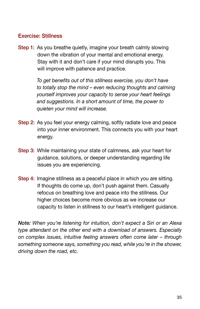#### Exercise: Stillness

Step 1: As you breathe quietly, imagine your breath calmly slowing down the vibration of your mental and emotional energy. Stay with it and don't care if your mind disrupts you. This will improve with patience and practice.

> *To get benefits out of this stillness exercise, you don't have to totally stop the mind – even reducing thoughts and calming yourself improves your capacity to sense your heart feelings and suggestions. In a short amount of time, the power to quieten your mind will increase.*

- Step 2: As you feel your energy calming, softly radiate love and peace into your inner environment. This connects you with your heart energy.
- Step 3: While maintaining your state of calmness, ask your heart for guidance, solutions, or deeper understanding regarding life issues you are experiencing.
- Step 4: Imagine stillness as a peaceful place in which you are sitting. If thoughts do come up, don't push against them. Casually refocus on breathing love and peace into the stillness. Our higher choices become more obvious as we increase our capacity to listen in stillness to our heart's intelligent guidance.

*Note: When you're listening for intuition, don't expect a Siri or an Alexa type attendant on the other end with a download of answers. Especially on complex issues, intuitive feeling answers often come later – through something someone says, something you read, while you're in the shower, driving down the road, etc.*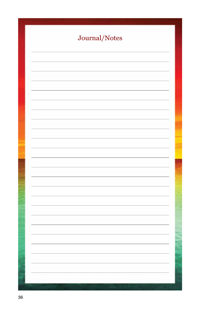| Journal/Notes |
|---------------|
|               |
|               |
|               |
|               |
|               |
|               |
|               |
|               |
|               |
|               |
|               |
|               |
|               |
|               |
|               |
|               |
|               |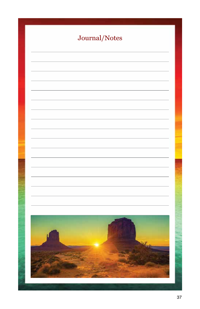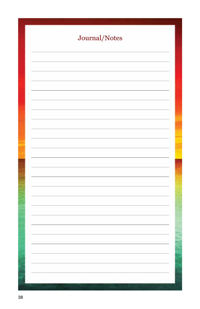| Journal/Notes |
|---------------|
|               |
|               |
|               |
|               |
|               |
|               |
|               |
|               |
|               |
|               |
|               |
|               |
|               |
|               |
|               |
|               |
|               |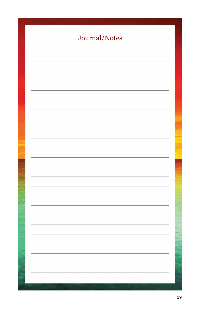| Journal/Notes |  |
|---------------|--|
|               |  |
|               |  |
|               |  |
|               |  |
|               |  |
|               |  |
|               |  |
|               |  |
|               |  |
|               |  |
|               |  |
|               |  |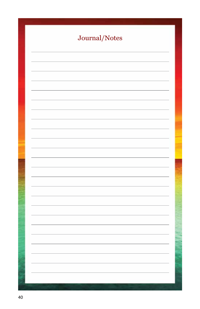| Journal/Notes |
|---------------|
|               |
|               |
|               |
|               |
|               |
|               |
|               |
|               |
|               |
|               |
|               |
|               |
|               |
|               |
|               |
|               |
|               |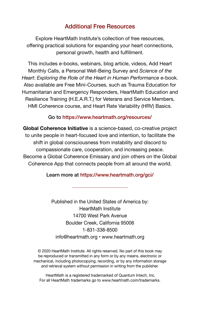### Additional Free Resources

Explore HeartMath Institute's collection of free resources, offering practical solutions for expanding your heart connections, personal growth, health and fulfillment.

This includes e-books, webinars, blog article, videos, Add Heart Monthly Calls, a Personal Well-Being Survey and *Science of the Heart*: *Exploring the Role of the Heart in Human Performance* e-book. Also available are Free Mini-Courses, such as Trauma Education for Humanitarian and Emergency Responders, HeartMath Education and Resilience Training (H.E.A.R.T.) for Veterans and Service Members, HMI Coherence course, and Heart Rate Variability (HRV) Basics.

#### Go to https://www.heartmath.org/resources/

**Global Coherence Initiative** is a science-based, co-creative project to unite people in heart-focused love and intention, to facilitate the shift in global consciousness from instability and discord to compassionate care, cooperation, and increasing peace. Become a Global Coherence Emissary and join others on the Global Coherence App that connects people from all around the world.

#### Learn more at https://www.heartmath.org/gci/

Published in the United States of America by: HeartMath Institute 14700 West Park Avenue Boulder Creek, California 95006 1-831-338-8500 info@heartmath.org • www.heartmath.org

© 2020 HeartMath Institute. All rights reserved. No part of this book may be reproduced or transmitted in any form or by any means, electronic or mechanical, including photocopying, recording, or by any information storage and retrieval system without permission in writing from the publisher.

HeartMath is a registered trademarked of Quantum Intech, Inc. For all HeartMath trademarks go to www.heartmath.com/trademarks.